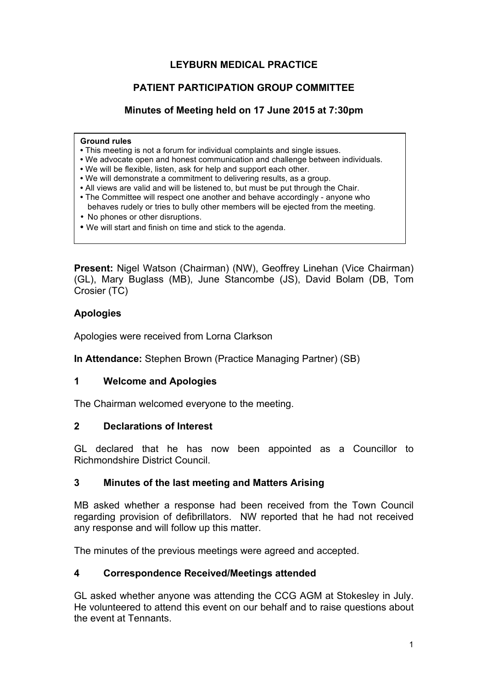# **LEYBURN MEDICAL PRACTICE**

# **PATIENT PARTICIPATION GROUP COMMITTEE**

# **Minutes of Meeting held on 17 June 2015 at 7:30pm**

#### **Ground rules**

- This meeting is not a forum for individual complaints and single issues.
- We advocate open and honest communication and challenge between individuals.
- We will be flexible, listen, ask for help and support each other.
- We will demonstrate a commitment to delivering results, as a group.
- All views are valid and will be listened to, but must be put through the Chair.
- The Committee will respect one another and behave accordingly anyone who behaves rudely or tries to bully other members will be ejected from the meeting.
- No phones or other disruptions.
- We will start and finish on time and stick to the agenda.

**Present:** Nigel Watson (Chairman) (NW), Geoffrey Linehan (Vice Chairman) (GL), Mary Buglass (MB), June Stancombe (JS), David Bolam (DB, Tom Crosier (TC)

## **Apologies**

Apologies were received from Lorna Clarkson

**In Attendance:** Stephen Brown (Practice Managing Partner) (SB)

#### **1 Welcome and Apologies**

The Chairman welcomed everyone to the meeting.

#### **2 Declarations of Interest**

GL declared that he has now been appointed as a Councillor to Richmondshire District Council.

#### **3 Minutes of the last meeting and Matters Arising**

MB asked whether a response had been received from the Town Council regarding provision of defibrillators. NW reported that he had not received any response and will follow up this matter.

The minutes of the previous meetings were agreed and accepted.

#### **4 Correspondence Received/Meetings attended**

GL asked whether anyone was attending the CCG AGM at Stokesley in July. He volunteered to attend this event on our behalf and to raise questions about the event at Tennants.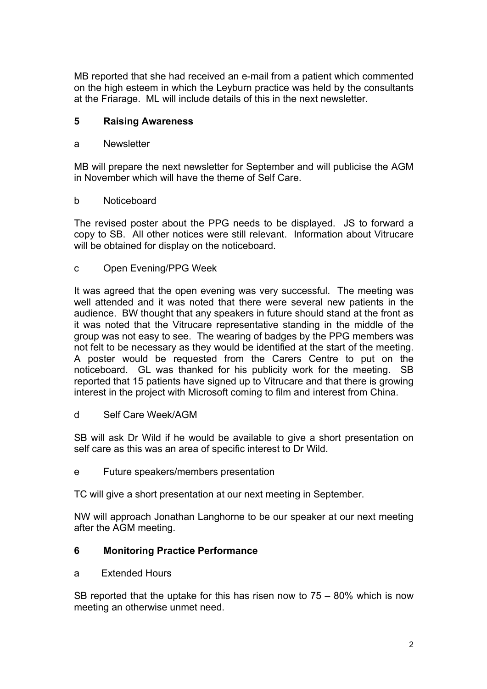MB reported that she had received an e-mail from a patient which commented on the high esteem in which the Leyburn practice was held by the consultants at the Friarage. ML will include details of this in the next newsletter.

# **5 Raising Awareness**

## a Newsletter

MB will prepare the next newsletter for September and will publicise the AGM in November which will have the theme of Self Care.

## b Noticeboard

The revised poster about the PPG needs to be displayed. JS to forward a copy to SB. All other notices were still relevant. Information about Vitrucare will be obtained for display on the noticeboard.

c Open Evening/PPG Week

It was agreed that the open evening was very successful. The meeting was well attended and it was noted that there were several new patients in the audience. BW thought that any speakers in future should stand at the front as it was noted that the Vitrucare representative standing in the middle of the group was not easy to see. The wearing of badges by the PPG members was not felt to be necessary as they would be identified at the start of the meeting. A poster would be requested from the Carers Centre to put on the noticeboard. GL was thanked for his publicity work for the meeting. SB reported that 15 patients have signed up to Vitrucare and that there is growing interest in the project with Microsoft coming to film and interest from China.

d Self Care Week/AGM

SB will ask Dr Wild if he would be available to give a short presentation on self care as this was an area of specific interest to Dr Wild.

e Future speakers/members presentation

TC will give a short presentation at our next meeting in September.

NW will approach Jonathan Langhorne to be our speaker at our next meeting after the AGM meeting.

# **6 Monitoring Practice Performance**

a Extended Hours

SB reported that the uptake for this has risen now to 75 – 80% which is now meeting an otherwise unmet need.